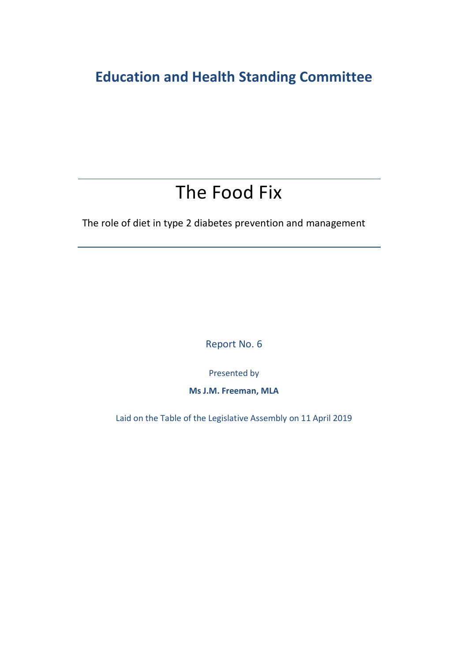## **Education and Health Standing Committee**

## The Food Fix

The role of diet in type 2 diabetes prevention and management

Report No. 6

Presented by

**Ms J.M. Freeman, MLA**

Laid on the Table of the Legislative Assembly on 11 April 2019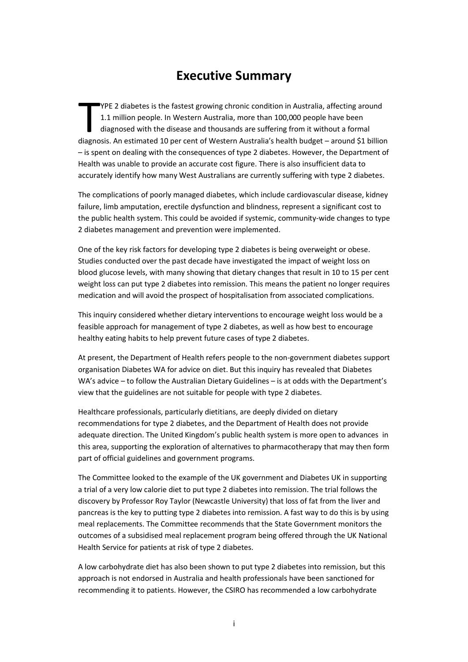## **Executive Summary**

YPE 2 diabetes is the fastest growing chronic condition in Australia, affecting around 1.1 million people. In Western Australia, more than 100,000 people have been diagnosed with the disease and thousands are suffering from it without a formal THE 2 diabetes is the fastest growing chronic condition in Australia, affecting around<br>1.1 million people. In Western Australia, more than 100,000 people have been<br>diagnosed with the disease and thousands are suffering fro – is spent on dealing with the consequences of type 2 diabetes. However, the Department of Health was unable to provide an accurate cost figure. There is also insufficient data to accurately identify how many West Australians are currently suffering with type 2 diabetes.

The complications of poorly managed diabetes, which include cardiovascular disease, kidney failure, limb amputation, erectile dysfunction and blindness, represent a significant cost to the public health system. This could be avoided if systemic, community-wide changes to type 2 diabetes management and prevention were implemented.

One of the key risk factors for developing type 2 diabetes is being overweight or obese. Studies conducted over the past decade have investigated the impact of weight loss on blood glucose levels, with many showing that dietary changes that result in 10 to 15 per cent weight loss can put type 2 diabetes into remission. This means the patient no longer requires medication and will avoid the prospect of hospitalisation from associated complications.

This inquiry considered whether dietary interventions to encourage weight loss would be a feasible approach for management of type 2 diabetes, as well as how best to encourage healthy eating habits to help prevent future cases of type 2 diabetes.

At present, the Department of Health refers people to the non-government diabetes support organisation Diabetes WA for advice on diet. But this inquiry has revealed that Diabetes WA's advice – to follow the Australian Dietary Guidelines – is at odds with the Department's view that the guidelines are not suitable for people with type 2 diabetes.

Healthcare professionals, particularly dietitians, are deeply divided on dietary recommendations for type 2 diabetes, and the Department of Health does not provide adequate direction. The United Kingdom's public health system is more open to advances in this area, supporting the exploration of alternatives to pharmacotherapy that may then form part of official guidelines and government programs.

The Committee looked to the example of the UK government and Diabetes UK in supporting a trial of a very low calorie diet to put type 2 diabetes into remission. The trial follows the discovery by Professor Roy Taylor (Newcastle University) that loss of fat from the liver and pancreas is the key to putting type 2 diabetes into remission. A fast way to do this is by using meal replacements. The Committee recommends that the State Government monitors the outcomes of a subsidised meal replacement program being offered through the UK National Health Service for patients at risk of type 2 diabetes.

A low carbohydrate diet has also been shown to put type 2 diabetes into remission, but this approach is not endorsed in Australia and health professionals have been sanctioned for recommending it to patients. However, the CSIRO has recommended a low carbohydrate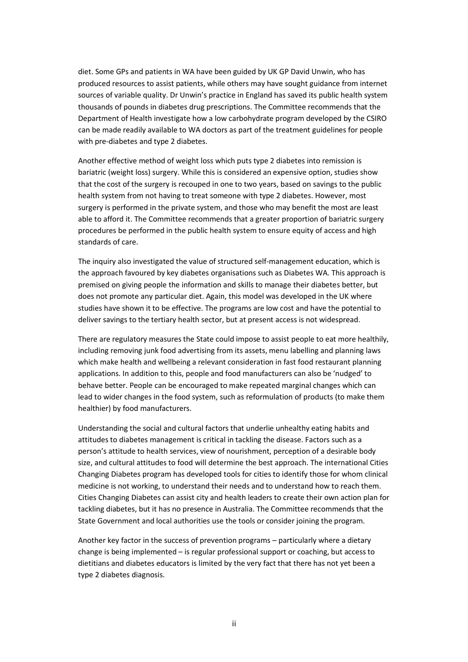diet. Some GPs and patients in WA have been guided by UK GP David Unwin, who has produced resources to assist patients, while others may have sought guidance from internet sources of variable quality. Dr Unwin's practice in England has saved its public health system thousands of pounds in diabetes drug prescriptions. The Committee recommends that the Department of Health investigate how a low carbohydrate program developed by the CSIRO can be made readily available to WA doctors as part of the treatment guidelines for people with pre-diabetes and type 2 diabetes.

Another effective method of weight loss which puts type 2 diabetes into remission is bariatric (weight loss) surgery. While this is considered an expensive option, studies show that the cost of the surgery is recouped in one to two years, based on savings to the public health system from not having to treat someone with type 2 diabetes. However, most surgery is performed in the private system, and those who may benefit the most are least able to afford it. The Committee recommends that a greater proportion of bariatric surgery procedures be performed in the public health system to ensure equity of access and high standards of care.

The inquiry also investigated the value of structured self-management education, which is the approach favoured by key diabetes organisations such as Diabetes WA. This approach is premised on giving people the information and skills to manage their diabetes better, but does not promote any particular diet. Again, this model was developed in the UK where studies have shown it to be effective. The programs are low cost and have the potential to deliver savings to the tertiary health sector, but at present access is not widespread.

There are regulatory measures the State could impose to assist people to eat more healthily, including removing junk food advertising from its assets, menu labelling and planning laws which make health and wellbeing a relevant consideration in fast food restaurant planning applications. In addition to this, people and food manufacturers can also be 'nudged' to behave better. People can be encouraged to make repeated marginal changes which can lead to wider changes in the food system, such as reformulation of products (to make them healthier) by food manufacturers.

Understanding the social and cultural factors that underlie unhealthy eating habits and attitudes to diabetes management is critical in tackling the disease. Factors such as a person's attitude to health services, view of nourishment, perception of a desirable body size, and cultural attitudes to food will determine the best approach. The international Cities Changing Diabetes program has developed tools for cities to identify those for whom clinical medicine is not working, to understand their needs and to understand how to reach them. Cities Changing Diabetes can assist city and health leaders to create their own action plan for tackling diabetes, but it has no presence in Australia. The Committee recommends that the State Government and local authorities use the tools or consider joining the program.

Another key factor in the success of prevention programs – particularly where a dietary change is being implemented – is regular professional support or coaching, but access to dietitians and diabetes educators is limited by the very fact that there has not yet been a type 2 diabetes diagnosis.